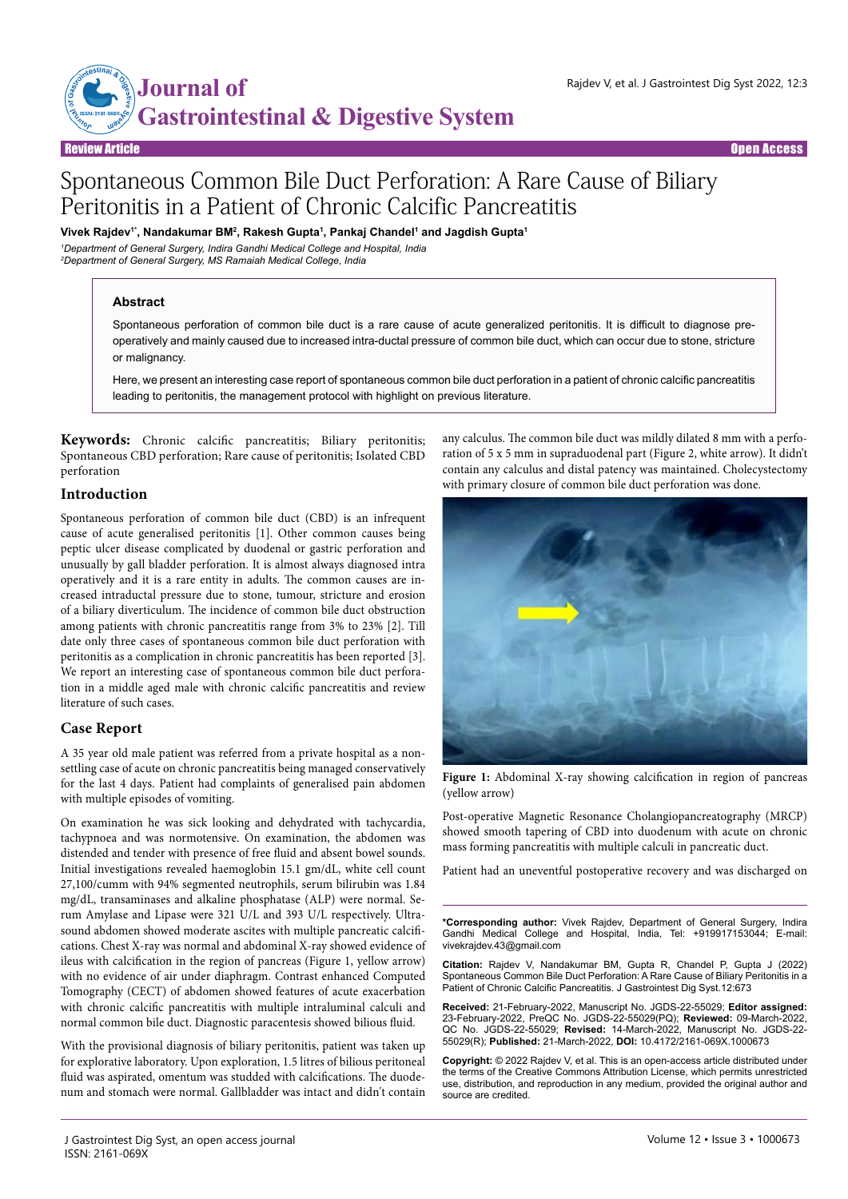

Open Access

# Spontaneous Common Bile Duct Perforation: A Rare Cause of Biliary Peritonitis in a Patient of Chronic Calcific Pancreatitis

**Vivek Rajdev1\*, Nandakumar BM2 , Rakesh Gupta1 , Pankaj Chandel1 and Jagdish Gupta1**

*1 Department of General Surgery, Indira Gandhi Medical College and Hospital, India 2 Department of General Surgery, MS Ramaiah Medical College, India*

## **Abstract**

Spontaneous perforation of common bile duct is a rare cause of acute generalized peritonitis. It is difficult to diagnose preoperatively and mainly caused due to increased intra-ductal pressure of common bile duct, which can occur due to stone, stricture or malignancy.

Here, we present an interesting case report of spontaneous common bile duct perforation in a patient of chronic calcific pancreatitis leading to peritonitis, the management protocol with highlight on previous literature.

**Keywords:** Chronic calcific pancreatitis; Biliary peritonitis; Spontaneous CBD perforation; Rare cause of peritonitis; Isolated CBD perforation

# **Introduction**

Spontaneous perforation of common bile duct (CBD) is an infrequent cause of acute generalised peritonitis [1]. Other common causes being peptic ulcer disease complicated by duodenal or gastric perforation and unusually by gall bladder perforation. It is almost always diagnosed intra operatively and it is a rare entity in adults. The common causes are increased intraductal pressure due to stone, tumour, stricture and erosion of a biliary diverticulum. The incidence of common bile duct obstruction among patients with chronic pancreatitis range from 3% to 23% [2]. Till date only three cases of spontaneous common bile duct perforation with peritonitis as a complication in chronic pancreatitis has been reported [3]. We report an interesting case of spontaneous common bile duct perforation in a middle aged male with chronic calcific pancreatitis and review literature of such cases.

# **Case Report**

A 35 year old male patient was referred from a private hospital as a nonsettling case of acute on chronic pancreatitis being managed conservatively for the last 4 days. Patient had complaints of generalised pain abdomen with multiple episodes of vomiting.

On examination he was sick looking and dehydrated with tachycardia, tachypnoea and was normotensive. On examination, the abdomen was distended and tender with presence of free fluid and absent bowel sounds. Initial investigations revealed haemoglobin 15.1 gm/dL, white cell count 27,100/cumm with 94% segmented neutrophils, serum bilirubin was 1.84 mg/dL, transaminases and alkaline phosphatase (ALP) were normal. Serum Amylase and Lipase were 321 U/L and 393 U/L respectively. Ultrasound abdomen showed moderate ascites with multiple pancreatic calcifications. Chest X-ray was normal and abdominal X-ray showed evidence of ileus with calcification in the region of pancreas (Figure 1, yellow arrow) with no evidence of air under diaphragm. Contrast enhanced Computed Tomography (CECT) of abdomen showed features of acute exacerbation with chronic calcific pancreatitis with multiple intraluminal calculi and normal common bile duct. Diagnostic paracentesis showed bilious fluid.

With the provisional diagnosis of biliary peritonitis, patient was taken up for explorative laboratory. Upon exploration, 1.5 litres of bilious peritoneal fluid was aspirated, omentum was studded with calcifications. The duodenum and stomach were normal. Gallbladder was intact and didn't contain any calculus. The common bile duct was mildly dilated 8 mm with a perforation of 5 x 5 mm in supraduodenal part (Figure 2, white arrow). It didn't contain any calculus and distal patency was maintained. Cholecystectomy with primary closure of common bile duct perforation was done.



Figure 1: Abdominal X-ray showing calcification in region of pancreas (yellow arrow)

Post-operative Magnetic Resonance Cholangiopancreatography (MRCP) showed smooth tapering of CBD into duodenum with acute on chronic mass forming pancreatitis with multiple calculi in pancreatic duct.

Patient had an uneventful postoperative recovery and was discharged on

**\*Corresponding author:** Vivek Rajdev, Department of General Surgery, Indira Gandhi Medical College and Hospital, India, Tel: +919917153044; E-mail: vivekrajdev.43@gmail.com

**Citation:** Rajdev V, Nandakumar BM, Gupta R, Chandel P, Gupta J (2022) Spontaneous Common Bile Duct Perforation: A Rare Cause of Biliary Peritonitis in a Patient of Chronic Calcific Pancreatitis. J Gastrointest Dig Syst.12:673

**Received:** 21-February-2022, Manuscript No. JGDS-22-55029; **Editor assigned:**  23-February-2022, PreQC No. JGDS-22-55029(PQ); **Reviewed:** 09-March-2022, QC No. JGDS-22-55029; **Revised:** 14-March-2022, Manuscript No. JGDS-22- 55029(R); **Published:** 21-March-2022, **DOI:** 10.4172/2161-069X.1000673

**Copyright:** © 2022 Rajdev V, et al. This is an open-access article distributed under the terms of the Creative Commons Attribution License, which permits unrestricted use, distribution, and reproduction in any medium, provided the original author and source are credited.